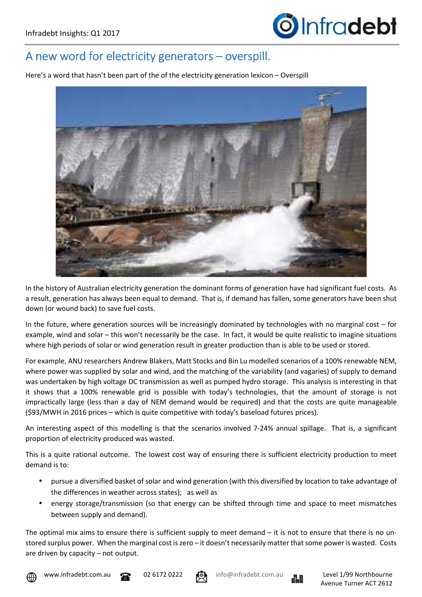

## A new word for electricity generators – overspill.

Here's a word that hasn't been part of the of the electricity generation lexicon – Overspill



In the history of Australian electricity generation the dominant forms of generation have had significant fuel costs. As a result, generation has always been equal to demand. That is, if demand has fallen, some generators have been shut down (or wound back) to save fuel costs.

In the future, where generation sources will be increasingly dominated by technologies with no marginal cost – for example, wind and solar – this won't necessarily be the case. In fact, it would be quite realistic to imagine situations where high periods of solar or wind generation result in greater production than is able to be used or stored.

For example, ANU researchers Andrew Blakers, Matt Stocks and Bin Lu modelled scenarios of a 100% renewable NEM, where power was supplied by solar and wind, and the matching of the variability (and vagaries) of supply to demand was undertaken by high voltage DC transmission as well as pumped hydro storage. This analysis is interesting in that it shows that a 100% renewable grid is possible with today's technologies, that the amount of storage is not impractically large (less than a day of NEM demand would be required) and that the costs are quite manageable (\$93/MWH in 2016 prices – which is quite competitive with today's baseload futures prices).

An interesting aspect of this modelling is that the scenarios involved 7-24% annual spillage. That is, a significant proportion of electricity produced was wasted.

This is a quite rational outcome. The lowest cost way of ensuring there is sufficient electricity production to meet demand is to:

- pursue a diversified basket of solar and wind generation (with this diversified by location to take advantage of the differences in weather across states); as well as
- energy storage/transmission (so that energy can be shifted through time and space to meet mismatches between supply and demand).

The optimal mix aims to ensure there is sufficient supply to meet demand  $-$  it is not to ensure that there is no unstored surplus power. When the marginal cost is zero – it doesn't necessarily matter that some power is wasted. Costs are driven by capacity – not output.